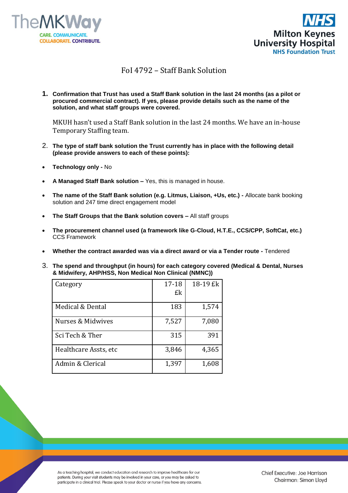



## FoI 4792 – Staff Bank Solution

**1. Confirmation that Trust has used a Staff Bank solution in the last 24 months (as a pilot or procured commercial contract). If yes, please provide details such as the name of the solution, and what staff groups were covered.**

MKUH hasn't used a Staff Bank solution in the last 24 months. We have an in-house Temporary Staffing team.

- 2. **The type of staff bank solution the Trust currently has in place with the following detail (please provide answers to each of these points):**
- **Technology only -** No
- **A Managed Staff Bank solution –** Yes, this is managed in house.
- **The name of the Staff Bank solution (e.g. Litmus, Liaison, +Us, etc.) -** Allocate bank booking solution and 247 time direct engagement model
- **The Staff Groups that the Bank solution covers –** All staff groups
- **The procurement channel used (a framework like G-Cloud, H.T.E., CCS/CPP, SoftCat, etc.)**  CCS Framework
- **Whether the contract awarded was via a direct award or via a Tender route -** Tendered
- 3. **The spend and throughput (in hours) for each category covered (Medical & Dental, Nurses & Midwifery, AHP/HSS, Non Medical Non Clinical (NMNC))**

| Category              | 17-18 | 18-19 £k |
|-----------------------|-------|----------|
|                       | £k    |          |
| Medical & Dental      | 183   | 1,574    |
| Nurses & Midwives     | 7,527 | 7,080    |
| Sci Tech & Ther       | 315   | 391      |
| Healthcare Assts, etc | 3,846 | 4,365    |
| Admin & Clerical      | 1,397 | 1,608    |

As a teaching hospital, we conduct education and research to improve healthcare for our patients. During your visit students may be involved in your care, or you may be asked to participate in a clinical trial. Please speak to your doctor or nurse if you have any concerns.